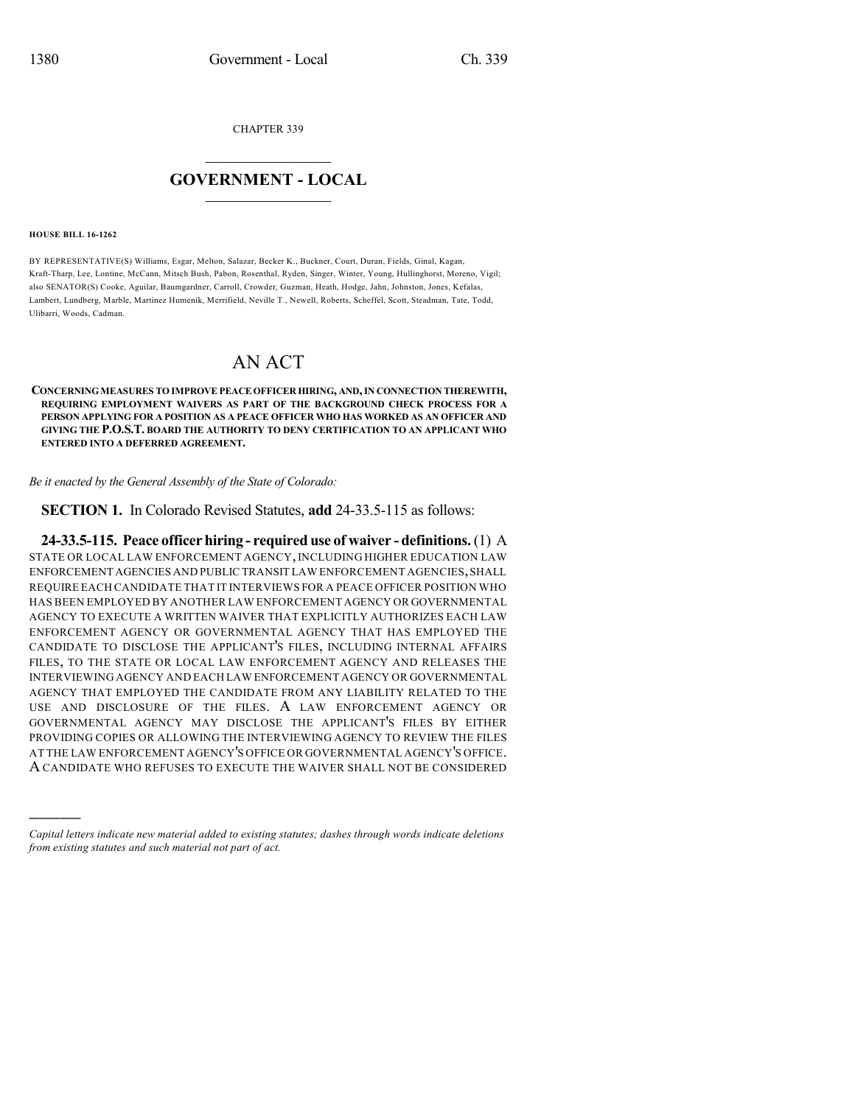CHAPTER 339

## $\overline{\phantom{a}}$  . The set of the set of the set of the set of the set of the set of the set of the set of the set of the set of the set of the set of the set of the set of the set of the set of the set of the set of the set o **GOVERNMENT - LOCAL**  $\_$

## **HOUSE BILL 16-1262**

)))))

BY REPRESENTATIVE(S) Williams, Esgar, Melton, Salazar, Becker K., Buckner, Court, Duran, Fields, Ginal, Kagan, Kraft-Tharp, Lee, Lontine, McCann, Mitsch Bush, Pabon, Rosenthal, Ryden, Singer, Winter, Young, Hullinghorst, Moreno, Vigil; also SENATOR(S) Cooke, Aguilar, Baumgardner, Carroll, Crowder, Guzman, Heath, Hodge, Jahn, Johnston, Jones, Kefalas, Lambert, Lundberg, Marble, Martinez Humenik, Merrifield, Neville T., Newell, Roberts, Scheffel, Scott, Steadman, Tate, Todd, Ulibarri, Woods, Cadman.

## AN ACT

**CONCERNINGMEASURES TO IMPROVE PEACE OFFICER HIRING, AND,IN CONNECTION THEREWITH, REQUIRING EMPLOYMENT WAIVERS AS PART OF THE BACKGROUND CHECK PROCESS FOR A PERSON APPLYING FOR A POSITION AS A PEACE OFFICER WHO HAS WORKED AS AN OFFICER AND GIVING THE P.O.S.T. BOARD THE AUTHORITY TO DENY CERTIFICATION TO AN APPLICANT WHO ENTERED INTO A DEFERRED AGREEMENT.**

*Be it enacted by the General Assembly of the State of Colorado:*

**SECTION 1.** In Colorado Revised Statutes, **add** 24-33.5-115 as follows:

**24-33.5-115. Peace officer hiring - required use of waiver - definitions.**(1) A STATE OR LOCAL LAW ENFORCEMENT AGENCY, INCLUDING HIGHER EDUCATION LAW ENFORCEMENT AGENCIES AND PUBLIC TRANSIT LAW ENFORCEMENT AGENCIES,SHALL REQUIRE EACH CANDIDATE THAT IT INTERVIEWS FOR A PEACE OFFICER POSITION WHO HAS BEEN EMPLOYED BY ANOTHER LAW ENFORCEMENT AGENCY OR GOVERNMENTAL AGENCY TO EXECUTE A WRITTEN WAIVER THAT EXPLICITLY AUTHORIZES EACH LAW ENFORCEMENT AGENCY OR GOVERNMENTAL AGENCY THAT HAS EMPLOYED THE CANDIDATE TO DISCLOSE THE APPLICANT'S FILES, INCLUDING INTERNAL AFFAIRS FILES, TO THE STATE OR LOCAL LAW ENFORCEMENT AGENCY AND RELEASES THE INTERVIEWING AGENCY AND EACH LAW ENFORCEMENT AGENCY OR GOVERNMENTAL AGENCY THAT EMPLOYED THE CANDIDATE FROM ANY LIABILITY RELATED TO THE USE AND DISCLOSURE OF THE FILES. A LAW ENFORCEMENT AGENCY OR GOVERNMENTAL AGENCY MAY DISCLOSE THE APPLICANT'S FILES BY EITHER PROVIDING COPIES OR ALLOWING THE INTERVIEWING AGENCY TO REVIEW THE FILES AT THE LAW ENFORCEMENT AGENCY'S OFFICE OR GOVERNMENTAL AGENCY'S OFFICE. A CANDIDATE WHO REFUSES TO EXECUTE THE WAIVER SHALL NOT BE CONSIDERED

*Capital letters indicate new material added to existing statutes; dashes through words indicate deletions from existing statutes and such material not part of act.*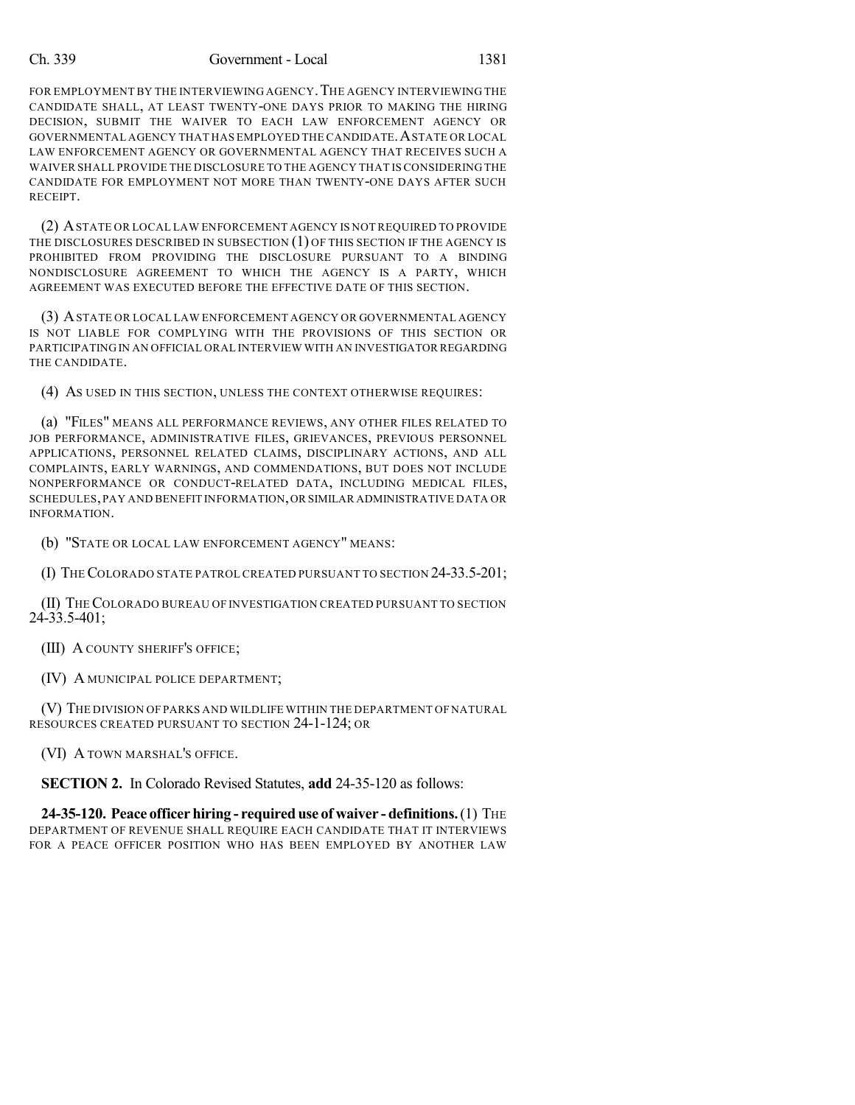## Ch. 339 Government - Local 1381

FOR EMPLOYMENT BY THE INTERVIEWING AGENCY. THE AGENCY INTERVIEWING THE CANDIDATE SHALL, AT LEAST TWENTY-ONE DAYS PRIOR TO MAKING THE HIRING DECISION, SUBMIT THE WAIVER TO EACH LAW ENFORCEMENT AGENCY OR GOVERNMENTAL AGENCY THAT HAS EMPLOYED THE CANDIDATE.ASTATE OR LOCAL LAW ENFORCEMENT AGENCY OR GOVERNMENTAL AGENCY THAT RECEIVES SUCH A WAIVER SHALL PROVIDE THE DISCLOSURE TO THE AGENCY THAT IS CONSIDERING THE CANDIDATE FOR EMPLOYMENT NOT MORE THAN TWENTY-ONE DAYS AFTER SUCH RECEIPT.

(2) ASTATE OR LOCAL LAW ENFORCEMENT AGENCY IS NOT REQUIRED TO PROVIDE THE DISCLOSURES DESCRIBED IN SUBSECTION (1) OF THIS SECTION IF THE AGENCY IS PROHIBITED FROM PROVIDING THE DISCLOSURE PURSUANT TO A BINDING NONDISCLOSURE AGREEMENT TO WHICH THE AGENCY IS A PARTY, WHICH AGREEMENT WAS EXECUTED BEFORE THE EFFECTIVE DATE OF THIS SECTION.

(3) ASTATE OR LOCAL LAW ENFORCEMENT AGENCY OR GOVERNMENTAL AGENCY IS NOT LIABLE FOR COMPLYING WITH THE PROVISIONS OF THIS SECTION OR PARTICIPATING IN AN OFFICIAL ORAL INTERVIEW WITH AN INVESTIGATOR REGARDING THE CANDIDATE.

(4) AS USED IN THIS SECTION, UNLESS THE CONTEXT OTHERWISE REQUIRES:

(a) "FILES" MEANS ALL PERFORMANCE REVIEWS, ANY OTHER FILES RELATED TO JOB PERFORMANCE, ADMINISTRATIVE FILES, GRIEVANCES, PREVIOUS PERSONNEL APPLICATIONS, PERSONNEL RELATED CLAIMS, DISCIPLINARY ACTIONS, AND ALL COMPLAINTS, EARLY WARNINGS, AND COMMENDATIONS, BUT DOES NOT INCLUDE NONPERFORMANCE OR CONDUCT-RELATED DATA, INCLUDING MEDICAL FILES, SCHEDULES,PAY AND BENEFIT INFORMATION,OR SIMILAR ADMINISTRATIVE DATA OR INFORMATION.

(b) "STATE OR LOCAL LAW ENFORCEMENT AGENCY" MEANS:

(I) THECOLORADO STATE PATROL CREATED PURSUANT TO SECTION 24-33.5-201;

(II) THECOLORADO BUREAU OF INVESTIGATION CREATED PURSUANT TO SECTION 24-33.5-401;

(III) A COUNTY SHERIFF'S OFFICE;

(IV) A MUNICIPAL POLICE DEPARTMENT;

(V) THE DIVISION OF PARKS AND WILDLIFE WITHIN THE DEPARTMENT OF NATURAL RESOURCES CREATED PURSUANT TO SECTION 24-1-124; OR

(VI) A TOWN MARSHAL'S OFFICE.

**SECTION 2.** In Colorado Revised Statutes, **add** 24-35-120 as follows:

**24-35-120. Peace officer hiring - required use of waiver - definitions.**(1) THE DEPARTMENT OF REVENUE SHALL REQUIRE EACH CANDIDATE THAT IT INTERVIEWS FOR A PEACE OFFICER POSITION WHO HAS BEEN EMPLOYED BY ANOTHER LAW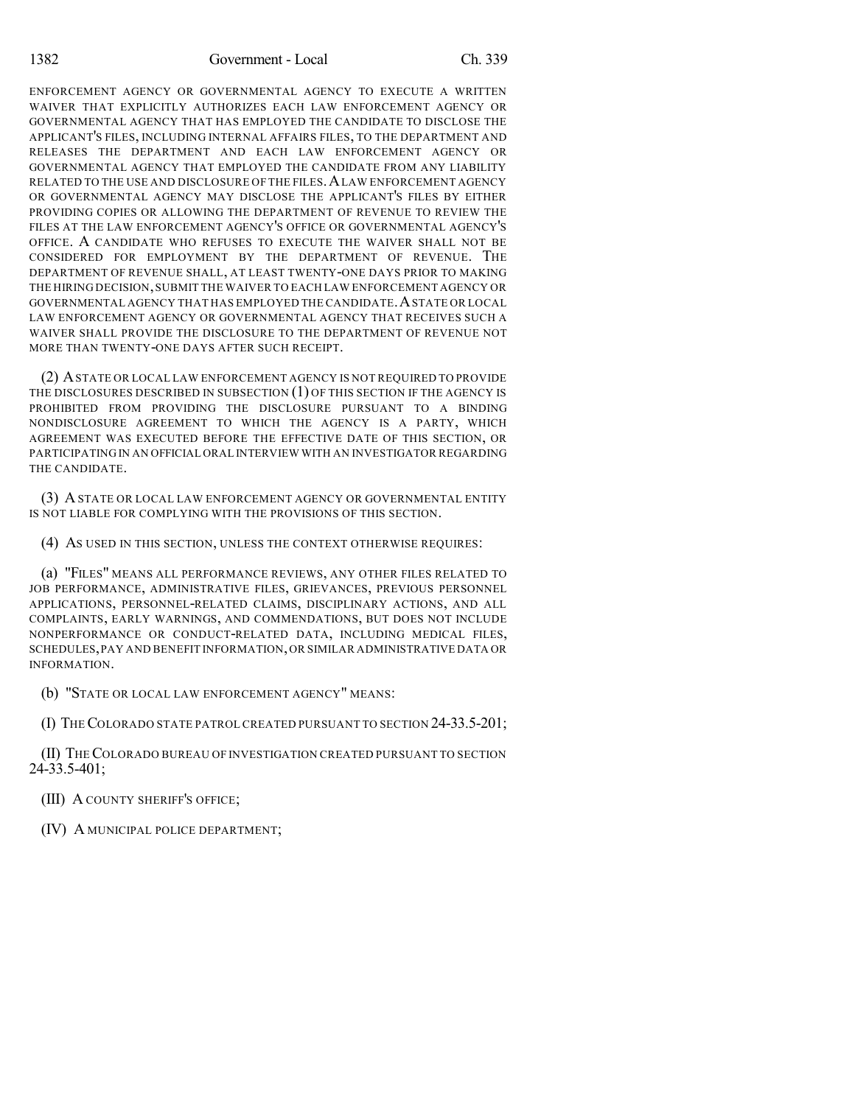ENFORCEMENT AGENCY OR GOVERNMENTAL AGENCY TO EXECUTE A WRITTEN WAIVER THAT EXPLICITLY AUTHORIZES EACH LAW ENFORCEMENT AGENCY OR GOVERNMENTAL AGENCY THAT HAS EMPLOYED THE CANDIDATE TO DISCLOSE THE APPLICANT'S FILES, INCLUDING INTERNAL AFFAIRS FILES, TO THE DEPARTMENT AND RELEASES THE DEPARTMENT AND EACH LAW ENFORCEMENT AGENCY OR GOVERNMENTAL AGENCY THAT EMPLOYED THE CANDIDATE FROM ANY LIABILITY RELATED TO THE USE AND DISCLOSURE OF THE FILES, A LAW ENFORCEMENT AGENCY OR GOVERNMENTAL AGENCY MAY DISCLOSE THE APPLICANT'S FILES BY EITHER PROVIDING COPIES OR ALLOWING THE DEPARTMENT OF REVENUE TO REVIEW THE FILES AT THE LAW ENFORCEMENT AGENCY'S OFFICE OR GOVERNMENTAL AGENCY'S OFFICE. A CANDIDATE WHO REFUSES TO EXECUTE THE WAIVER SHALL NOT BE CONSIDERED FOR EMPLOYMENT BY THE DEPARTMENT OF REVENUE. THE DEPARTMENT OF REVENUE SHALL, AT LEAST TWENTY-ONE DAYS PRIOR TO MAKING THE HIRING DECISION,SUBMIT THE WAIVER TO EACH LAW ENFORCEMENT AGENCY OR GOVERNMENTAL AGENCY THAT HAS EMPLOYED THE CANDIDATE.ASTATE OR LOCAL LAW ENFORCEMENT AGENCY OR GOVERNMENTAL AGENCY THAT RECEIVES SUCH A WAIVER SHALL PROVIDE THE DISCLOSURE TO THE DEPARTMENT OF REVENUE NOT MORE THAN TWENTY-ONE DAYS AFTER SUCH RECEIPT.

(2) ASTATE OR LOCAL LAW ENFORCEMENT AGENCY IS NOT REQUIRED TO PROVIDE THE DISCLOSURES DESCRIBED IN SUBSECTION (1) OF THIS SECTION IF THE AGENCY IS PROHIBITED FROM PROVIDING THE DISCLOSURE PURSUANT TO A BINDING NONDISCLOSURE AGREEMENT TO WHICH THE AGENCY IS A PARTY, WHICH AGREEMENT WAS EXECUTED BEFORE THE EFFECTIVE DATE OF THIS SECTION, OR PARTICIPATING IN AN OFFICIAL ORAL INTERVIEW WITH AN INVESTIGATOR REGARDING THE CANDIDATE.

(3) ASTATE OR LOCAL LAW ENFORCEMENT AGENCY OR GOVERNMENTAL ENTITY IS NOT LIABLE FOR COMPLYING WITH THE PROVISIONS OF THIS SECTION.

(4) AS USED IN THIS SECTION, UNLESS THE CONTEXT OTHERWISE REQUIRES:

(a) "FILES" MEANS ALL PERFORMANCE REVIEWS, ANY OTHER FILES RELATED TO JOB PERFORMANCE, ADMINISTRATIVE FILES, GRIEVANCES, PREVIOUS PERSONNEL APPLICATIONS, PERSONNEL-RELATED CLAIMS, DISCIPLINARY ACTIONS, AND ALL COMPLAINTS, EARLY WARNINGS, AND COMMENDATIONS, BUT DOES NOT INCLUDE NONPERFORMANCE OR CONDUCT-RELATED DATA, INCLUDING MEDICAL FILES, SCHEDULES,PAY AND BENEFIT INFORMATION,OR SIMILAR ADMINISTRATIVE DATA OR INFORMATION.

(b) "STATE OR LOCAL LAW ENFORCEMENT AGENCY" MEANS:

(I) THECOLORADO STATE PATROL CREATED PURSUANT TO SECTION 24-33.5-201;

(II) THECOLORADO BUREAU OF INVESTIGATION CREATED PURSUANT TO SECTION 24-33.5-401;

(III) A COUNTY SHERIFF'S OFFICE;

(IV) A MUNICIPAL POLICE DEPARTMENT;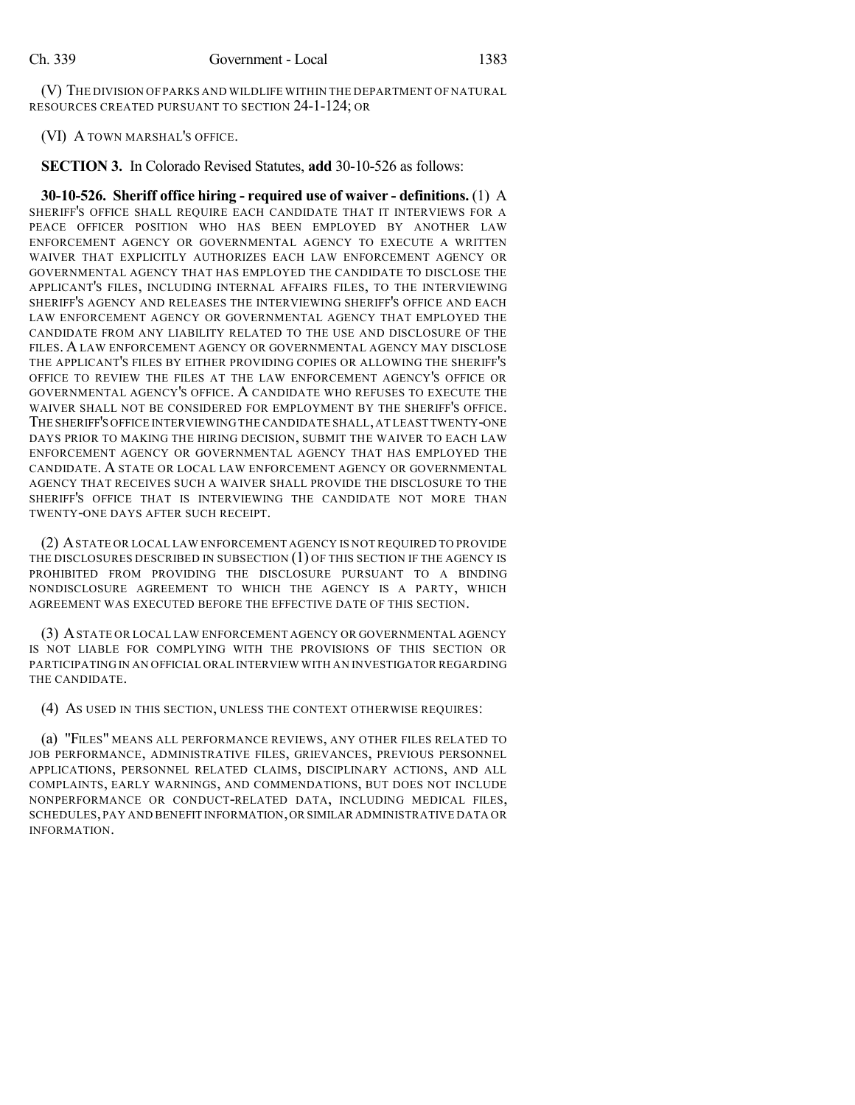(V) THE DIVISION OF PARKS AND WILDLIFE WITHIN THE DEPARTMENT OF NATURAL RESOURCES CREATED PURSUANT TO SECTION 24-1-124; OR

(VI) A TOWN MARSHAL'S OFFICE.

**SECTION 3.** In Colorado Revised Statutes, **add** 30-10-526 as follows:

**30-10-526. Sheriff office hiring - required use of waiver - definitions.** (1) A SHERIFF'S OFFICE SHALL REQUIRE EACH CANDIDATE THAT IT INTERVIEWS FOR A PEACE OFFICER POSITION WHO HAS BEEN EMPLOYED BY ANOTHER LAW ENFORCEMENT AGENCY OR GOVERNMENTAL AGENCY TO EXECUTE A WRITTEN WAIVER THAT EXPLICITLY AUTHORIZES EACH LAW ENFORCEMENT AGENCY OR GOVERNMENTAL AGENCY THAT HAS EMPLOYED THE CANDIDATE TO DISCLOSE THE APPLICANT'S FILES, INCLUDING INTERNAL AFFAIRS FILES, TO THE INTERVIEWING SHERIFF'S AGENCY AND RELEASES THE INTERVIEWING SHERIFF'S OFFICE AND EACH LAW ENFORCEMENT AGENCY OR GOVERNMENTAL AGENCY THAT EMPLOYED THE CANDIDATE FROM ANY LIABILITY RELATED TO THE USE AND DISCLOSURE OF THE FILES. A LAW ENFORCEMENT AGENCY OR GOVERNMENTAL AGENCY MAY DISCLOSE THE APPLICANT'S FILES BY EITHER PROVIDING COPIES OR ALLOWING THE SHERIFF'S OFFICE TO REVIEW THE FILES AT THE LAW ENFORCEMENT AGENCY'S OFFICE OR GOVERNMENTAL AGENCY'S OFFICE. A CANDIDATE WHO REFUSES TO EXECUTE THE WAIVER SHALL NOT BE CONSIDERED FOR EMPLOYMENT BY THE SHERIFF'S OFFICE. THE SHERIFF'S OFFICE INTERVIEWING THE CANDIDATE SHALL,AT LEAST TWENTY-ONE DAYS PRIOR TO MAKING THE HIRING DECISION, SUBMIT THE WAIVER TO EACH LAW ENFORCEMENT AGENCY OR GOVERNMENTAL AGENCY THAT HAS EMPLOYED THE CANDIDATE. A STATE OR LOCAL LAW ENFORCEMENT AGENCY OR GOVERNMENTAL AGENCY THAT RECEIVES SUCH A WAIVER SHALL PROVIDE THE DISCLOSURE TO THE SHERIFF'S OFFICE THAT IS INTERVIEWING THE CANDIDATE NOT MORE THAN TWENTY-ONE DAYS AFTER SUCH RECEIPT.

(2) ASTATE OR LOCAL LAW ENFORCEMENT AGENCY IS NOT REQUIRED TO PROVIDE THE DISCLOSURES DESCRIBED IN SUBSECTION (1) OF THIS SECTION IF THE AGENCY IS PROHIBITED FROM PROVIDING THE DISCLOSURE PURSUANT TO A BINDING NONDISCLOSURE AGREEMENT TO WHICH THE AGENCY IS A PARTY, WHICH AGREEMENT WAS EXECUTED BEFORE THE EFFECTIVE DATE OF THIS SECTION.

(3) ASTATE OR LOCAL LAW ENFORCEMENT AGENCY OR GOVERNMENTAL AGENCY IS NOT LIABLE FOR COMPLYING WITH THE PROVISIONS OF THIS SECTION OR PARTICIPATING IN AN OFFICIAL ORAL INTERVIEW WITH AN INVESTIGATOR REGARDING THE CANDIDATE.

(4) AS USED IN THIS SECTION, UNLESS THE CONTEXT OTHERWISE REQUIRES:

(a) "FILES" MEANS ALL PERFORMANCE REVIEWS, ANY OTHER FILES RELATED TO JOB PERFORMANCE, ADMINISTRATIVE FILES, GRIEVANCES, PREVIOUS PERSONNEL APPLICATIONS, PERSONNEL RELATED CLAIMS, DISCIPLINARY ACTIONS, AND ALL COMPLAINTS, EARLY WARNINGS, AND COMMENDATIONS, BUT DOES NOT INCLUDE NONPERFORMANCE OR CONDUCT-RELATED DATA, INCLUDING MEDICAL FILES, SCHEDULES,PAY AND BENEFIT INFORMATION,OR SIMILAR ADMINISTRATIVE DATA OR INFORMATION.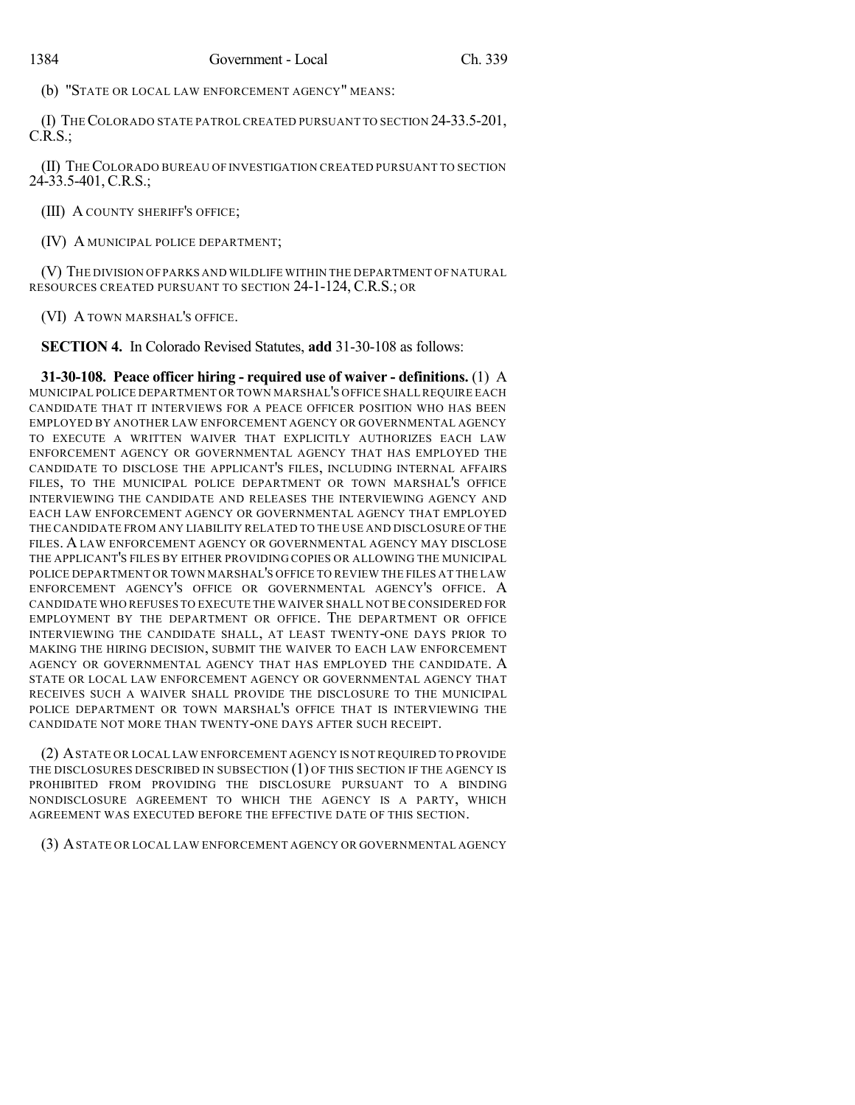(b) "STATE OR LOCAL LAW ENFORCEMENT AGENCY" MEANS:

(I) THECOLORADO STATE PATROL CREATED PURSUANT TO SECTION 24-33.5-201, C.R.S.;

(II) THECOLORADO BUREAU OF INVESTIGATION CREATED PURSUANT TO SECTION 24-33.5-401, C.R.S.;

(III) A COUNTY SHERIFF'S OFFICE;

(IV) A MUNICIPAL POLICE DEPARTMENT;

(V) THE DIVISION OF PARKS AND WILDLIFE WITHIN THE DEPARTMENT OF NATURAL RESOURCES CREATED PURSUANT TO SECTION 24-1-124, C.R.S.; OR

(VI) A TOWN MARSHAL'S OFFICE.

**SECTION 4.** In Colorado Revised Statutes, **add** 31-30-108 as follows:

**31-30-108. Peace officer hiring - required use of waiver - definitions.** (1) A MUNICIPAL POLICE DEPARTMENT OR TOWN MARSHAL'S OFFICE SHALLREQUIRE EACH CANDIDATE THAT IT INTERVIEWS FOR A PEACE OFFICER POSITION WHO HAS BEEN EMPLOYED BY ANOTHER LAW ENFORCEMENT AGENCY OR GOVERNMENTAL AGENCY TO EXECUTE A WRITTEN WAIVER THAT EXPLICITLY AUTHORIZES EACH LAW ENFORCEMENT AGENCY OR GOVERNMENTAL AGENCY THAT HAS EMPLOYED THE CANDIDATE TO DISCLOSE THE APPLICANT'S FILES, INCLUDING INTERNAL AFFAIRS FILES, TO THE MUNICIPAL POLICE DEPARTMENT OR TOWN MARSHAL'S OFFICE INTERVIEWING THE CANDIDATE AND RELEASES THE INTERVIEWING AGENCY AND EACH LAW ENFORCEMENT AGENCY OR GOVERNMENTAL AGENCY THAT EMPLOYED THE CANDIDATE FROM ANY LIABILITY RELATED TO THE USE AND DISCLOSURE OF THE FILES. A LAW ENFORCEMENT AGENCY OR GOVERNMENTAL AGENCY MAY DISCLOSE THE APPLICANT'S FILES BY EITHER PROVIDING COPIES OR ALLOWING THE MUNICIPAL POLICE DEPARTMENT OR TOWN MARSHAL'S OFFICE TO REVIEW THE FILES AT THE LAW ENFORCEMENT AGENCY'S OFFICE OR GOVERNMENTAL AGENCY'S OFFICE. A CANDIDATE WHO REFUSES TO EXECUTE THE WAIVER SHALL NOT BE CONSIDERED FOR EMPLOYMENT BY THE DEPARTMENT OR OFFICE. THE DEPARTMENT OR OFFICE INTERVIEWING THE CANDIDATE SHALL, AT LEAST TWENTY-ONE DAYS PRIOR TO MAKING THE HIRING DECISION, SUBMIT THE WAIVER TO EACH LAW ENFORCEMENT AGENCY OR GOVERNMENTAL AGENCY THAT HAS EMPLOYED THE CANDIDATE. A STATE OR LOCAL LAW ENFORCEMENT AGENCY OR GOVERNMENTAL AGENCY THAT RECEIVES SUCH A WAIVER SHALL PROVIDE THE DISCLOSURE TO THE MUNICIPAL POLICE DEPARTMENT OR TOWN MARSHAL'S OFFICE THAT IS INTERVIEWING THE CANDIDATE NOT MORE THAN TWENTY-ONE DAYS AFTER SUCH RECEIPT.

(2) ASTATE OR LOCAL LAW ENFORCEMENT AGENCY IS NOT REQUIRED TO PROVIDE THE DISCLOSURES DESCRIBED IN SUBSECTION (1) OF THIS SECTION IF THE AGENCY IS PROHIBITED FROM PROVIDING THE DISCLOSURE PURSUANT TO A BINDING NONDISCLOSURE AGREEMENT TO WHICH THE AGENCY IS A PARTY, WHICH AGREEMENT WAS EXECUTED BEFORE THE EFFECTIVE DATE OF THIS SECTION.

(3) ASTATE OR LOCAL LAW ENFORCEMENT AGENCY OR GOVERNMENTAL AGENCY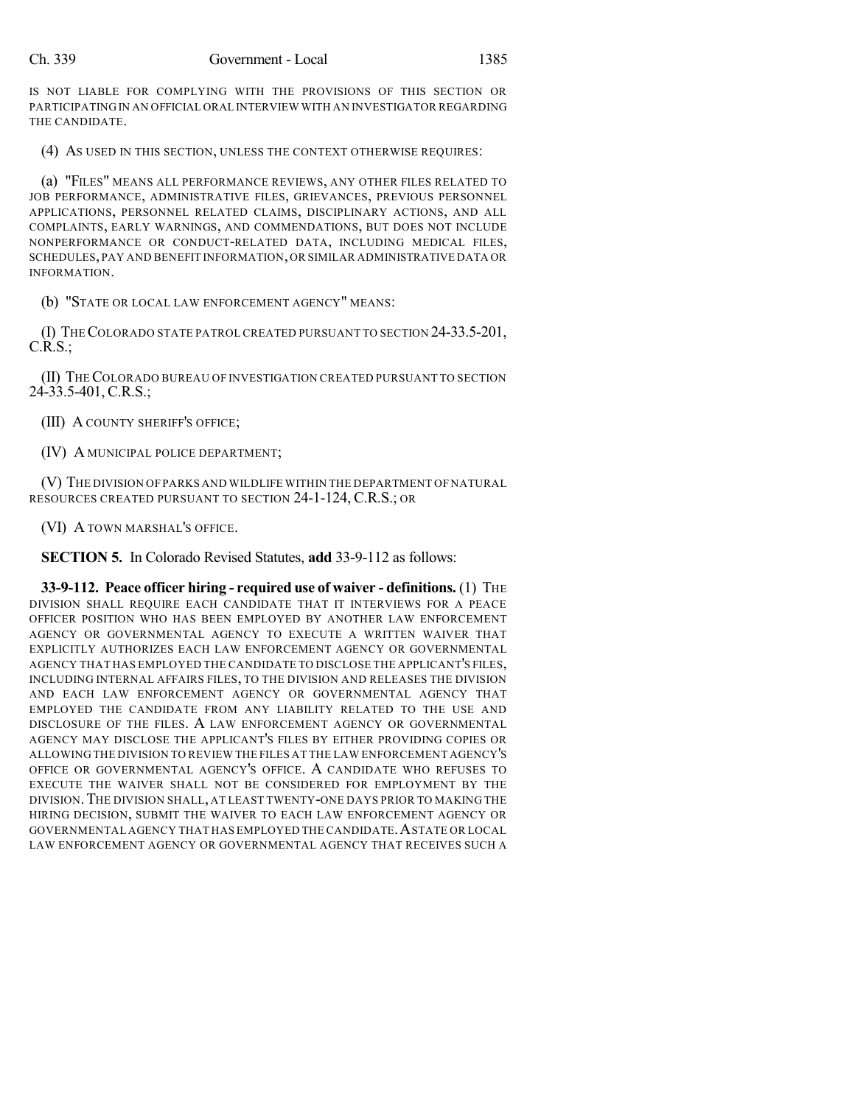IS NOT LIABLE FOR COMPLYING WITH THE PROVISIONS OF THIS SECTION OR PARTICIPATING IN AN OFFICIAL ORAL INTERVIEW WITH AN INVESTIGATOR REGARDING THE CANDIDATE.

(4) AS USED IN THIS SECTION, UNLESS THE CONTEXT OTHERWISE REQUIRES:

(a) "FILES" MEANS ALL PERFORMANCE REVIEWS, ANY OTHER FILES RELATED TO JOB PERFORMANCE, ADMINISTRATIVE FILES, GRIEVANCES, PREVIOUS PERSONNEL APPLICATIONS, PERSONNEL RELATED CLAIMS, DISCIPLINARY ACTIONS, AND ALL COMPLAINTS, EARLY WARNINGS, AND COMMENDATIONS, BUT DOES NOT INCLUDE NONPERFORMANCE OR CONDUCT-RELATED DATA, INCLUDING MEDICAL FILES, SCHEDULES,PAY AND BENEFIT INFORMATION,OR SIMILAR ADMINISTRATIVE DATA OR INFORMATION.

(b) "STATE OR LOCAL LAW ENFORCEMENT AGENCY" MEANS:

(I) THECOLORADO STATE PATROL CREATED PURSUANT TO SECTION 24-33.5-201,  $C.R.S.$ ;

(II) THECOLORADO BUREAU OF INVESTIGATION CREATED PURSUANT TO SECTION 24-33.5-401, C.R.S.;

(III) A COUNTY SHERIFF'S OFFICE;

(IV) A MUNICIPAL POLICE DEPARTMENT;

(V) THE DIVISION OF PARKS AND WILDLIFE WITHIN THE DEPARTMENT OF NATURAL RESOURCES CREATED PURSUANT TO SECTION 24-1-124, C.R.S.; OR

(VI) A TOWN MARSHAL'S OFFICE.

**SECTION 5.** In Colorado Revised Statutes, **add** 33-9-112 as follows:

**33-9-112. Peace officer hiring - required use of waiver - definitions.** (1) THE DIVISION SHALL REQUIRE EACH CANDIDATE THAT IT INTERVIEWS FOR A PEACE OFFICER POSITION WHO HAS BEEN EMPLOYED BY ANOTHER LAW ENFORCEMENT AGENCY OR GOVERNMENTAL AGENCY TO EXECUTE A WRITTEN WAIVER THAT EXPLICITLY AUTHORIZES EACH LAW ENFORCEMENT AGENCY OR GOVERNMENTAL AGENCY THAT HAS EMPLOYED THE CANDIDATE TO DISCLOSE THE APPLICANT'S FILES, INCLUDING INTERNAL AFFAIRS FILES, TO THE DIVISION AND RELEASES THE DIVISION AND EACH LAW ENFORCEMENT AGENCY OR GOVERNMENTAL AGENCY THAT EMPLOYED THE CANDIDATE FROM ANY LIABILITY RELATED TO THE USE AND DISCLOSURE OF THE FILES. A LAW ENFORCEMENT AGENCY OR GOVERNMENTAL AGENCY MAY DISCLOSE THE APPLICANT'S FILES BY EITHER PROVIDING COPIES OR ALLOWING THE DIVISION TO REVIEW THE FILES AT THE LAW ENFORCEMENT AGENCY'S OFFICE OR GOVERNMENTAL AGENCY'S OFFICE. A CANDIDATE WHO REFUSES TO EXECUTE THE WAIVER SHALL NOT BE CONSIDERED FOR EMPLOYMENT BY THE DIVISION.THE DIVISION SHALL, AT LEAST TWENTY-ONE DAYS PRIOR TO MAKING THE HIRING DECISION, SUBMIT THE WAIVER TO EACH LAW ENFORCEMENT AGENCY OR GOVERNMENTAL AGENCY THAT HAS EMPLOYED THE CANDIDATE.ASTATE OR LOCAL LAW ENFORCEMENT AGENCY OR GOVERNMENTAL AGENCY THAT RECEIVES SUCH A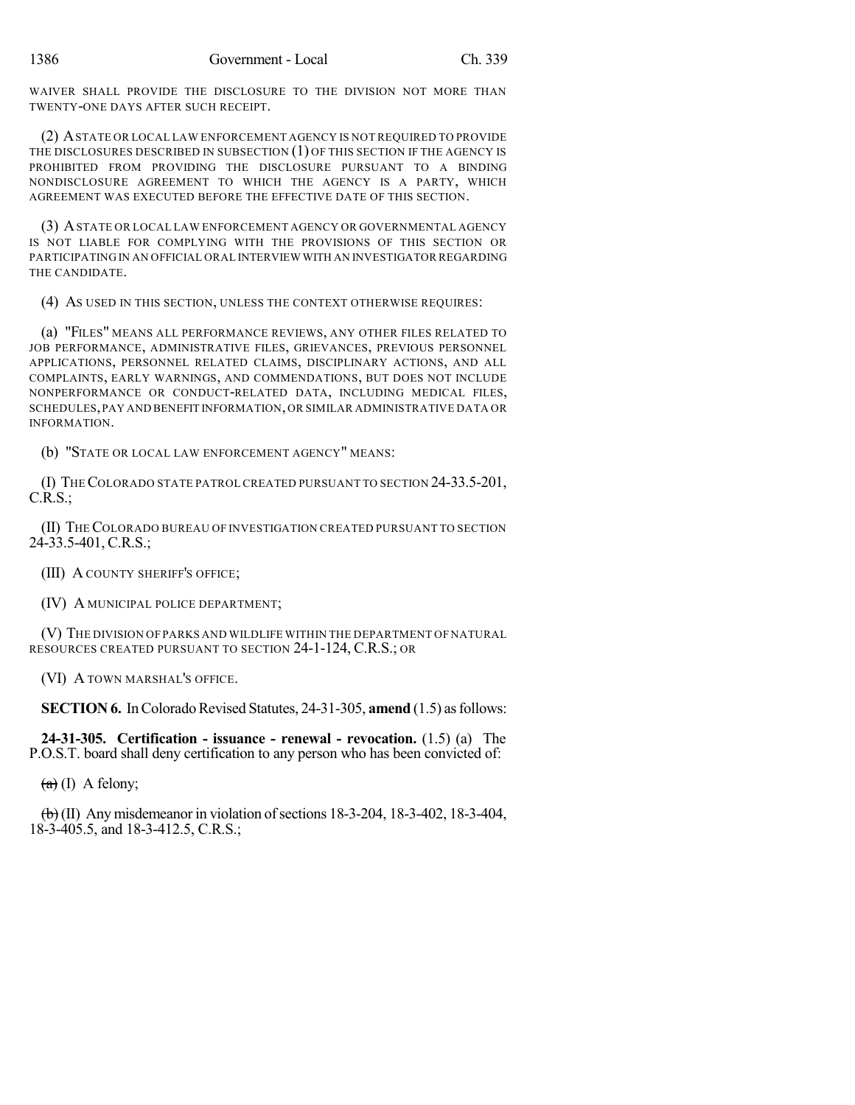WAIVER SHALL PROVIDE THE DISCLOSURE TO THE DIVISION NOT MORE THAN TWENTY-ONE DAYS AFTER SUCH RECEIPT.

(2) ASTATE OR LOCAL LAW ENFORCEMENT AGENCY IS NOT REQUIRED TO PROVIDE THE DISCLOSURES DESCRIBED IN SUBSECTION (1) OF THIS SECTION IF THE AGENCY IS PROHIBITED FROM PROVIDING THE DISCLOSURE PURSUANT TO A BINDING NONDISCLOSURE AGREEMENT TO WHICH THE AGENCY IS A PARTY, WHICH AGREEMENT WAS EXECUTED BEFORE THE EFFECTIVE DATE OF THIS SECTION.

(3) ASTATE OR LOCAL LAW ENFORCEMENT AGENCY OR GOVERNMENTAL AGENCY IS NOT LIABLE FOR COMPLYING WITH THE PROVISIONS OF THIS SECTION OR PARTICIPATING IN AN OFFICIAL ORAL INTERVIEW WITH AN INVESTIGATOR REGARDING THE CANDIDATE.

(4) AS USED IN THIS SECTION, UNLESS THE CONTEXT OTHERWISE REQUIRES:

(a) "FILES" MEANS ALL PERFORMANCE REVIEWS, ANY OTHER FILES RELATED TO JOB PERFORMANCE, ADMINISTRATIVE FILES, GRIEVANCES, PREVIOUS PERSONNEL APPLICATIONS, PERSONNEL RELATED CLAIMS, DISCIPLINARY ACTIONS, AND ALL COMPLAINTS, EARLY WARNINGS, AND COMMENDATIONS, BUT DOES NOT INCLUDE NONPERFORMANCE OR CONDUCT-RELATED DATA, INCLUDING MEDICAL FILES, SCHEDULES,PAY AND BENEFIT INFORMATION,OR SIMILAR ADMINISTRATIVE DATA OR INFORMATION.

(b) "STATE OR LOCAL LAW ENFORCEMENT AGENCY" MEANS:

(I) THECOLORADO STATE PATROL CREATED PURSUANT TO SECTION 24-33.5-201,  $C.R.S.$ ;

(II) THECOLORADO BUREAU OF INVESTIGATION CREATED PURSUANT TO SECTION 24-33.5-401, C.R.S.;

(III) A COUNTY SHERIFF'S OFFICE;

(IV) A MUNICIPAL POLICE DEPARTMENT;

(V) THE DIVISION OF PARKS AND WILDLIFE WITHIN THE DEPARTMENT OF NATURAL RESOURCES CREATED PURSUANT TO SECTION 24-1-124, C.R.S.; OR

(VI) A TOWN MARSHAL'S OFFICE.

**SECTION 6.** In Colorado Revised Statutes, 24-31-305, **amend** (1.5) as follows:

**24-31-305. Certification - issuance - renewal - revocation.** (1.5) (a) The P.O.S.T. board shall deny certification to any person who has been convicted of:

 $(a)$  (I) A felony;

 $\overline{(b)}$ (II) Any misdemeanor in violation of sections 18-3-204, 18-3-402, 18-3-404, 18-3-405.5, and 18-3-412.5, C.R.S.;